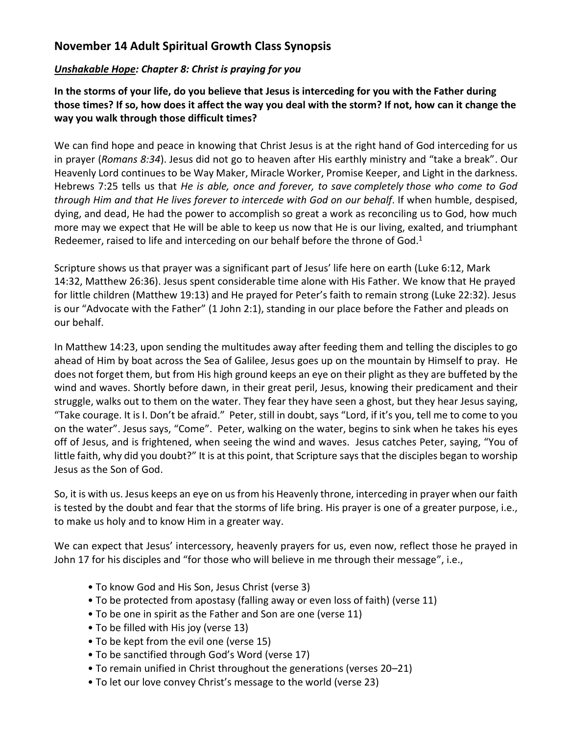## **November 14 Adult Spiritual Growth Class Synopsis**

## *Unshakable Hope: Chapter 8: Christ is praying for you*

**In the storms of your life, do you believe that Jesus is interceding for you with the Father during those times? If so, how does it affect the way you deal with the storm? If not, how can it change the way you walk through those difficult times?**

We can find hope and peace in knowing that Christ Jesus is at the right hand of God interceding for us in prayer (*Romans 8:34*). Jesus did not go to heaven after His earthly ministry and "take a break". Our Heavenly Lord continues to be Way Maker, Miracle Worker, Promise Keeper, and Light in the darkness. Hebrews 7:25 tells us that *He is able, once and forever, to save completely those who come to God through Him and that He lives forever to intercede with God on our behalf*. If when humble, despised, dying, and dead, He had the power to accomplish so great a work as reconciling us to God, how much more may we expect that He will be able to keep us now that He is our living, exalted, and triumphant Redeemer, raised to life and interceding on our behalf before the throne of God.<sup>1</sup>

Scripture shows us that prayer was a significant part of Jesus' life here on earth (Luke 6:12, Mark 14:32, Matthew 26:36). Jesus spent considerable time alone with His Father. We know that He prayed for little children (Matthew 19:13) and He prayed for Peter's faith to remain strong (Luke 22:32). Jesus is our "Advocate with the Father" (1 John 2:1), standing in our place before the Father and pleads on our behalf.

In Matthew 14:23, upon sending the multitudes away after feeding them and telling the disciples to go ahead of Him by boat across the Sea of Galilee, Jesus goes up on the mountain by Himself to pray. He does not forget them, but from His high ground keeps an eye on their plight as they are buffeted by the wind and waves. Shortly before dawn, in their great peril, Jesus, knowing their predicament and their struggle, walks out to them on the water. They fear they have seen a ghost, but they hear Jesus saying, "Take courage. It is I. Don't be afraid." Peter, still in doubt, says "Lord, if it's you, tell me to come to you on the water". Jesus says, "Come". Peter, walking on the water, begins to sink when he takes his eyes off of Jesus, and is frightened, when seeing the wind and waves. Jesus catches Peter, saying, "You of little faith, why did you doubt?" It is at this point, that Scripture says that the disciples began to worship Jesus as the Son of God.

So, it is with us. Jesus keeps an eye on us from his Heavenly throne, interceding in prayer when our faith is tested by the doubt and fear that the storms of life bring. His prayer is one of a greater purpose, i.e., to make us holy and to know Him in a greater way.

We can expect that Jesus' intercessory, heavenly prayers for us, even now, reflect those he prayed in John 17 for his disciples and "for those who will believe in me through their message", i.e.,

- To know God and His Son, Jesus Christ (verse 3)
- To be protected from apostasy (falling away or even loss of faith) (verse 11)
- To be one in spirit as the Father and Son are one (verse 11)
- To be filled with His joy (verse 13)
- To be kept from the evil one (verse 15)
- To be sanctified through God's Word (verse 17)
- To remain unified in Christ throughout the generations (verses 20–21)
- To let our love convey Christ's message to the world (verse 23)